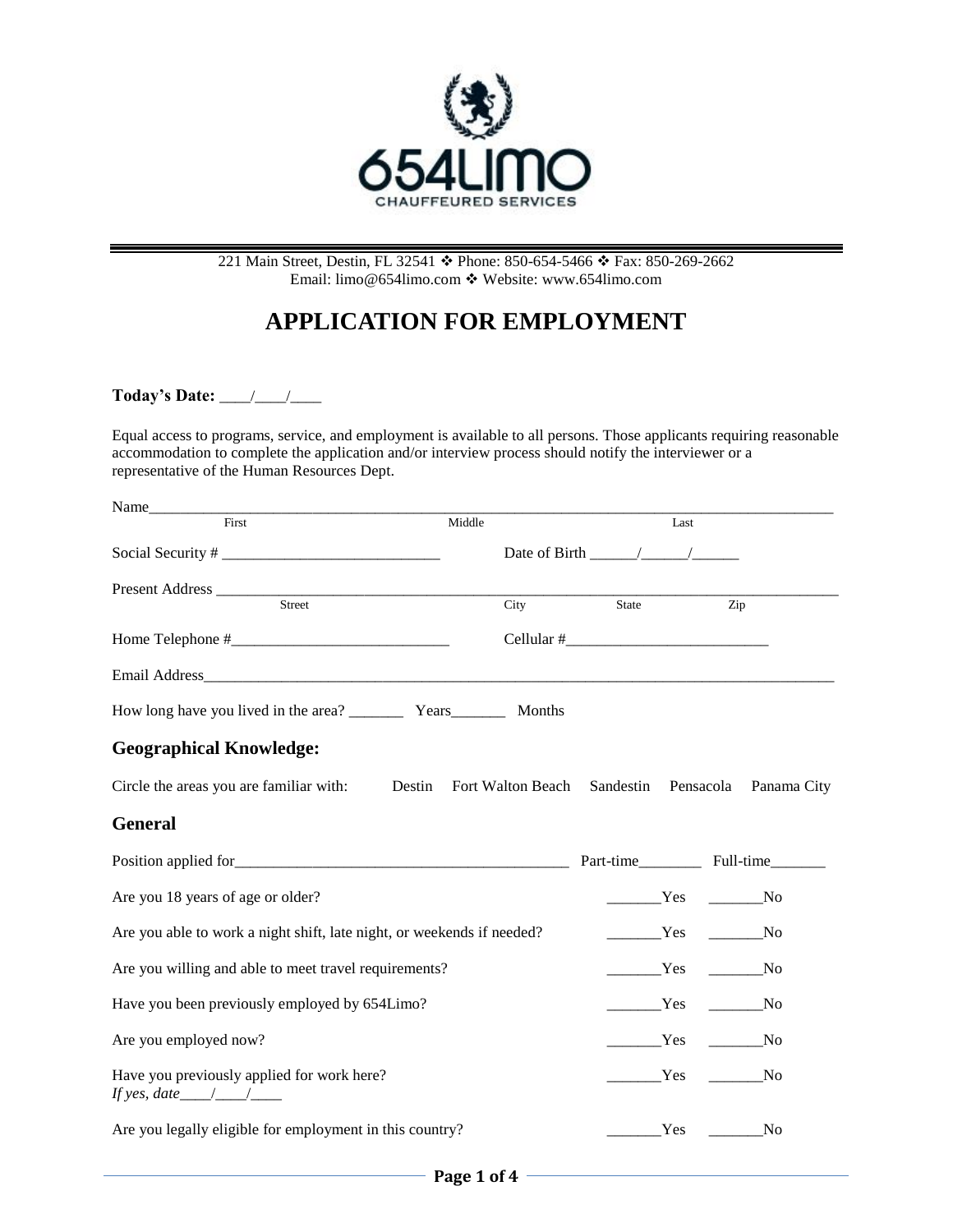

#### 221 Main Street, Destin, FL 32541  $\cdot$  Phone: 850-654-5466  $\cdot$  Fax: 850-269-2662 Email[: limo@654limo.com](mailto:limo@654limo.com) Website: [www.654limo.com](http://www.654limo.com/)

# **APPLICATION FOR EMPLOYMENT**

**Today's Date:** \_\_\_\_/\_\_\_\_/\_\_\_\_

Equal access to programs, service, and employment is available to all persons. Those applicants requiring reasonable accommodation to complete the application and/or interview process should notify the interviewer or a representative of the Human Resources Dept.

| Name____                                                               |                   |                                    |             |
|------------------------------------------------------------------------|-------------------|------------------------------------|-------------|
| First                                                                  | Middle            |                                    | Last        |
|                                                                        |                   | Date of Birth $\frac{\sqrt{2}}{2}$ |             |
|                                                                        |                   |                                    |             |
| Street                                                                 | City              | State                              | Zip         |
|                                                                        |                   |                                    |             |
| Email Address <b>Email Address</b>                                     |                   |                                    |             |
|                                                                        |                   |                                    |             |
| <b>Geographical Knowledge:</b>                                         |                   |                                    |             |
| Circle the areas you are familiar with: Destin                         | Fort Walton Beach | Sandestin Pensacola                | Panama City |
| <b>General</b>                                                         |                   |                                    |             |
|                                                                        |                   |                                    |             |
| Are you 18 years of age or older?                                      |                   |                                    | Yes No      |
| Are you able to work a night shift, late night, or weekends if needed? |                   | Ves No                             |             |
| Are you willing and able to meet travel requirements?                  | Yes               |                                    |             |
| Have you been previously employed by 654Limo?                          |                   | Yes                                |             |
| Are you employed now?                                                  |                   | Yes                                |             |
| Have you previously applied for work here?<br>If yes, date $\angle$    |                   |                                    | Yes No      |
| Are you legally eligible for employment in this country?               |                   | Yes                                | $\sqrt{N}$  |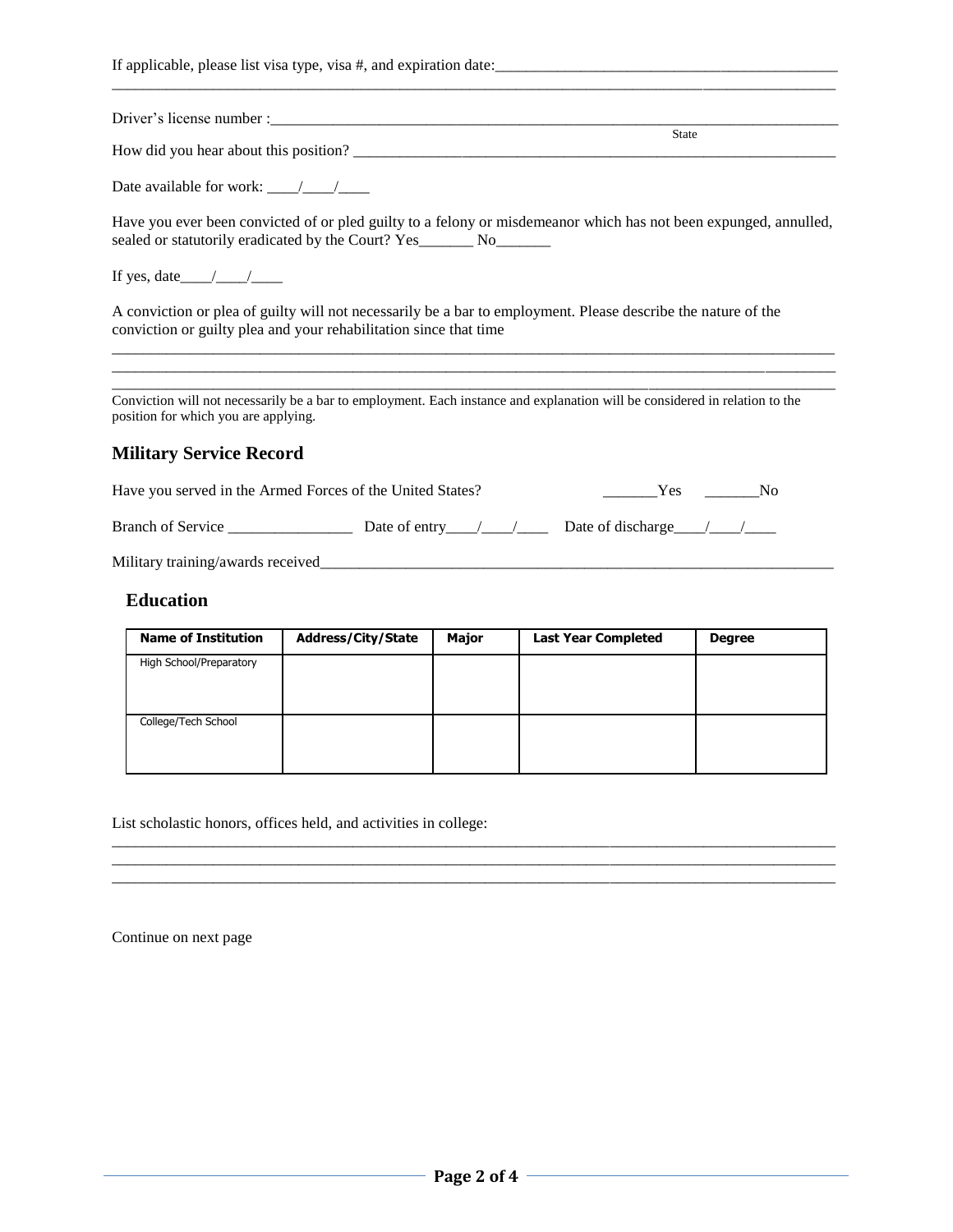| <b>State</b>                                                                                                                                                                             |
|------------------------------------------------------------------------------------------------------------------------------------------------------------------------------------------|
|                                                                                                                                                                                          |
| Have you ever been convicted of or pled guilty to a felony or misdemeanor which has not been expunged, annulled,<br>sealed or statutorily eradicated by the Court? Yes________ No_______ |
| If yes, date $\_\_\_\_\_\_\_\_\_\_\_\_\_\$                                                                                                                                               |
| A conviction or plea of guilty will not necessarily be a bar to employment. Please describe the nature of the<br>conviction or guilty plea and your rehabilitation since that time       |
| Conviction will not necessarily be a bar to employment. Each instance and explanation will be considered in relation to the<br>position for which you are applying.                      |
| <b>Military Service Record</b>                                                                                                                                                           |
| Have you served in the Armed Forces of the United States?<br>$Yes$ No                                                                                                                    |
|                                                                                                                                                                                          |
| Military training/awards received                                                                                                                                                        |
| <b>Education</b><br>Neuro of Tuestitustica de Adduses (City Chate de Maiou de Leat Veru Couraleted Dem                                                                                   |

| <b>Name of Institution</b> | <b>Address/City/State</b> | <b>Major</b> | <b>Last Year Completed</b> | <b>Degree</b> |
|----------------------------|---------------------------|--------------|----------------------------|---------------|
| High School/Preparatory    |                           |              |                            |               |
| College/Tech School        |                           |              |                            |               |

 $\overline{a_1}$  ,  $\overline{a_2}$  ,  $\overline{a_3}$  ,  $\overline{a_4}$  ,  $\overline{a_5}$  ,  $\overline{a_6}$  ,  $\overline{a_7}$  ,  $\overline{a_8}$  ,  $\overline{a_9}$  ,  $\overline{a_9}$  ,  $\overline{a_9}$  ,  $\overline{a_9}$  ,  $\overline{a_9}$  ,  $\overline{a_9}$  ,  $\overline{a_9}$  ,  $\overline{a_9}$  ,  $\overline{a_9}$  ,  $\frac{1}{2}$  ,  $\frac{1}{2}$  ,  $\frac{1}{2}$  ,  $\frac{1}{2}$  ,  $\frac{1}{2}$  ,  $\frac{1}{2}$  ,  $\frac{1}{2}$  ,  $\frac{1}{2}$  ,  $\frac{1}{2}$  ,  $\frac{1}{2}$  ,  $\frac{1}{2}$  ,  $\frac{1}{2}$  ,  $\frac{1}{2}$  ,  $\frac{1}{2}$  ,  $\frac{1}{2}$  ,  $\frac{1}{2}$  ,  $\frac{1}{2}$  ,  $\frac{1}{2}$  ,  $\frac{1$ 

List scholastic honors, offices held, and activities in college:

Continue on next page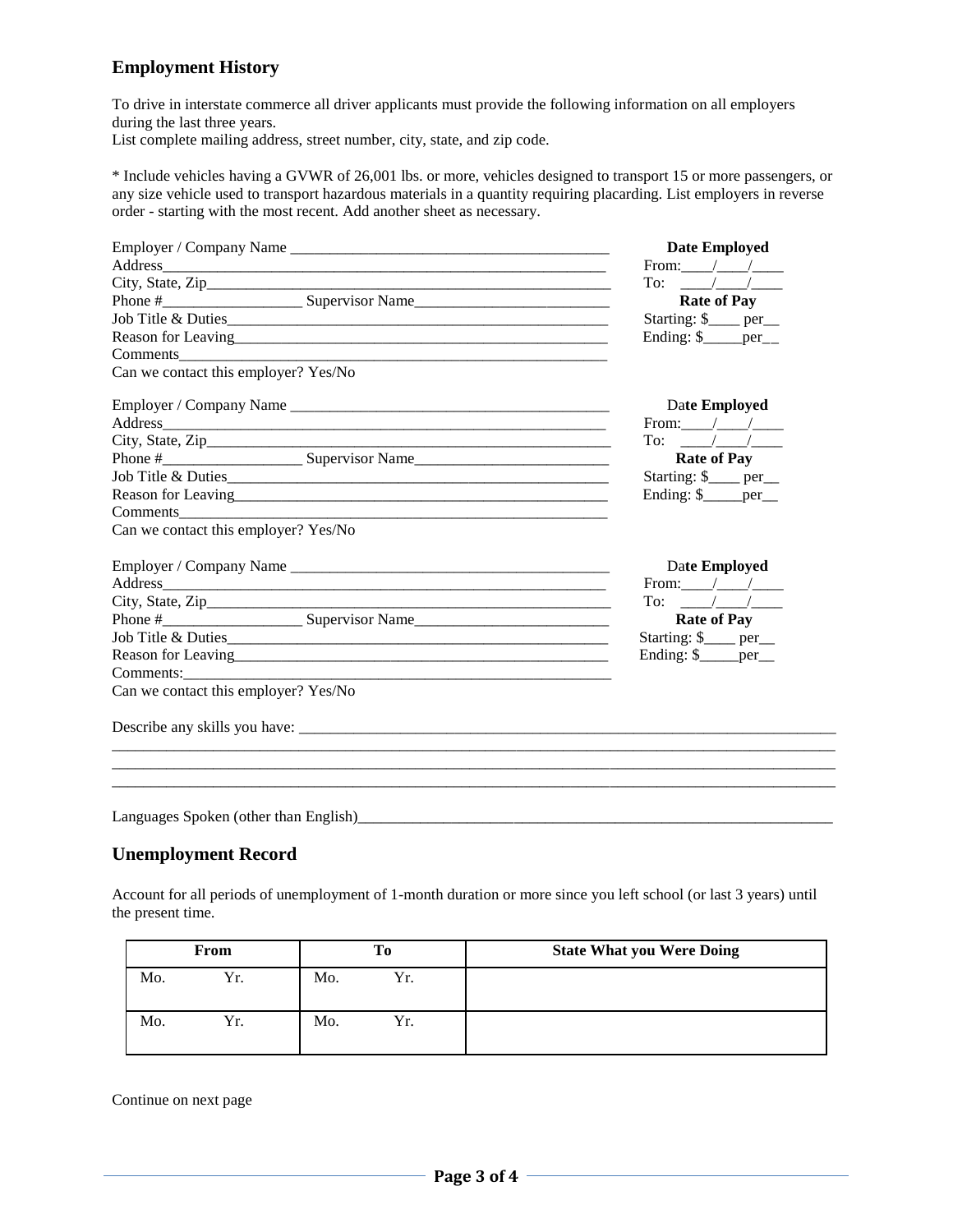#### **Employment History**

To drive in interstate commerce all driver applicants must provide the following information on all employers during the last three years.

List complete mailing address, street number, city, state, and zip code.

\* Include vehicles having a GVWR of 26,001 lbs. or more, vehicles designed to transport 15 or more passengers, or any size vehicle used to transport hazardous materials in a quantity requiring placarding. List employers in reverse order - starting with the most recent. Add another sheet as necessary.

| <b>Date Employed</b><br>From: $\angle$ /<br>To: $\frac{1}{\sqrt{2}}$<br><b>Rate of Pay</b><br>Starting: \$___ per_<br>Ending: \$____per__<br>Date Employed<br>From: $\_\_\_\_\_\_\_\_\_\_\$<br>To: $/$ /<br><b>Rate of Pay</b> |
|--------------------------------------------------------------------------------------------------------------------------------------------------------------------------------------------------------------------------------|
|                                                                                                                                                                                                                                |
|                                                                                                                                                                                                                                |
|                                                                                                                                                                                                                                |
|                                                                                                                                                                                                                                |
|                                                                                                                                                                                                                                |
|                                                                                                                                                                                                                                |
|                                                                                                                                                                                                                                |
|                                                                                                                                                                                                                                |
|                                                                                                                                                                                                                                |
|                                                                                                                                                                                                                                |
|                                                                                                                                                                                                                                |
| Starting: \$___ per_                                                                                                                                                                                                           |
| Ending: \$____per_                                                                                                                                                                                                             |
|                                                                                                                                                                                                                                |
|                                                                                                                                                                                                                                |
| Date Employed                                                                                                                                                                                                                  |
| From: $/$ /                                                                                                                                                                                                                    |
| To: $/$ /                                                                                                                                                                                                                      |
| <b>Rate of Pay</b>                                                                                                                                                                                                             |
| Starting: \$___ per_                                                                                                                                                                                                           |
| Ending: $\frac{\gamma}{2}$ per                                                                                                                                                                                                 |
|                                                                                                                                                                                                                                |
|                                                                                                                                                                                                                                |
|                                                                                                                                                                                                                                |
|                                                                                                                                                                                                                                |

Languages Spoken (other than English)\_\_\_\_\_\_\_\_\_\_\_\_\_\_\_\_\_\_\_\_\_\_\_\_\_\_\_\_\_\_\_\_\_\_\_\_\_\_\_\_\_\_\_\_\_\_\_\_\_\_\_\_\_\_\_\_\_\_\_\_\_

## **Unemployment Record**

Account for all periods of unemployment of 1-month duration or more since you left school (or last 3 years) until the present time.

| From |     | To  |     | <b>State What you Were Doing</b> |
|------|-----|-----|-----|----------------------------------|
| Mo.  | Yr. | Mo. | Yr. |                                  |
| Mo.  | Yr. | Mo. | Yr. |                                  |

Continue on next page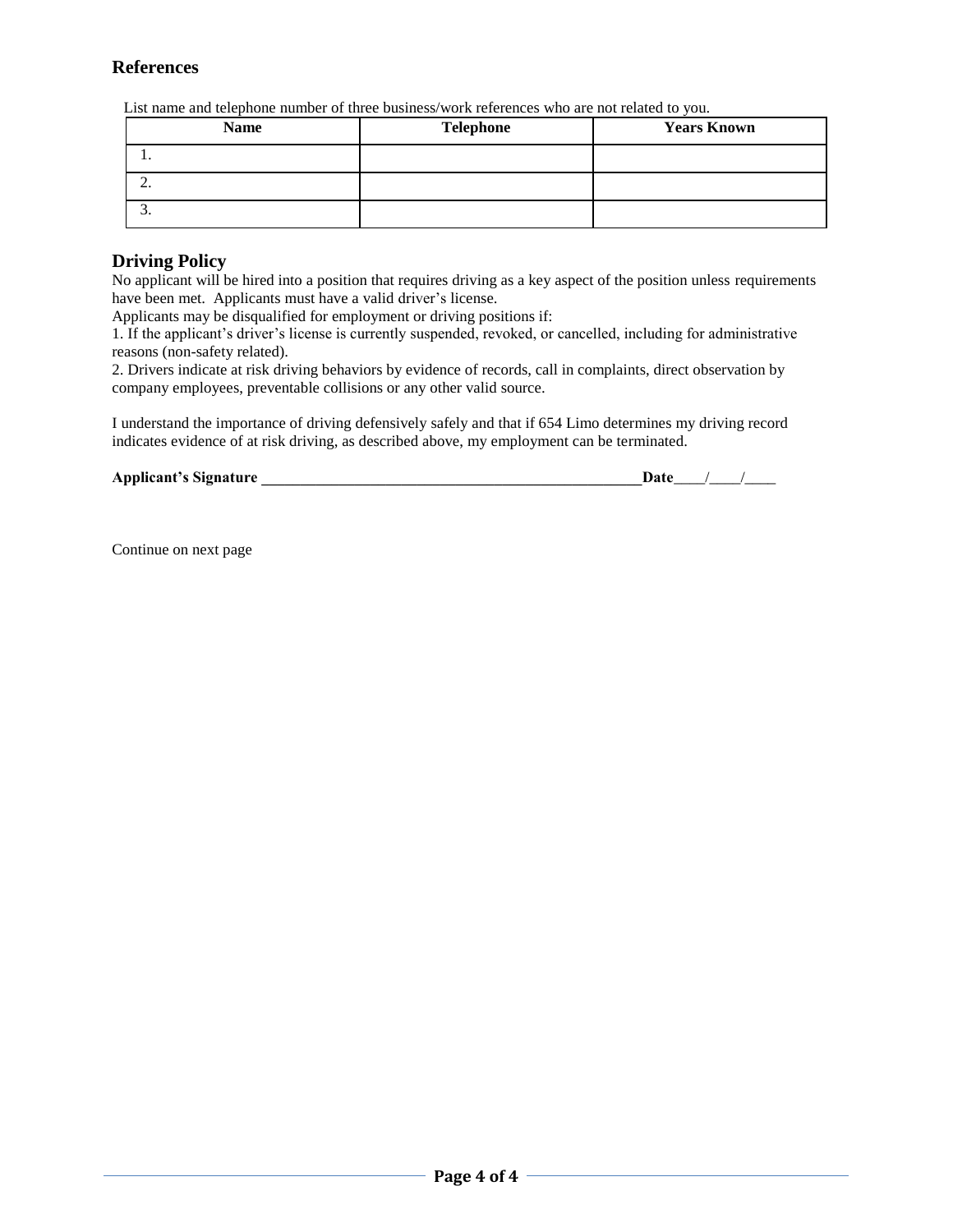## **References**

List name and telephone number of three business/work references who are not related to you.

| <b>Name</b> | <b>Telephone</b> | <b>Years Known</b> |
|-------------|------------------|--------------------|
|             |                  |                    |
| <u>.</u>    |                  |                    |
|             |                  |                    |

#### **Driving Policy**

No applicant will be hired into a position that requires driving as a key aspect of the position unless requirements have been met. Applicants must have a valid driver's license.

Applicants may be disqualified for employment or driving positions if:

1. If the applicant's driver's license is currently suspended, revoked, or cancelled, including for administrative reasons (non-safety related).

2. Drivers indicate at risk driving behaviors by evidence of records, call in complaints, direct observation by company employees, preventable collisions or any other valid source.

I understand the importance of driving defensively safely and that if 654 Limo determines my driving record indicates evidence of at risk driving, as described above, my employment can be terminated.

| <b>Applicant's Signature</b> |  |  |  |
|------------------------------|--|--|--|
|------------------------------|--|--|--|

Continue on next page